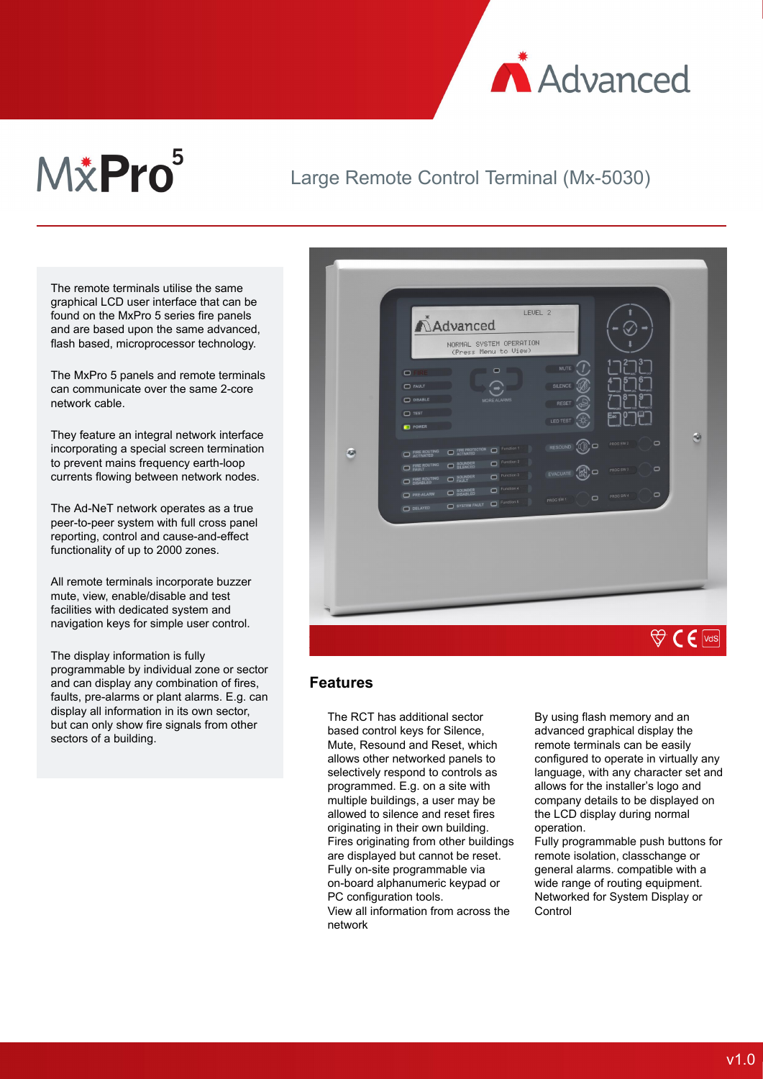

# M&Pro<sup>5</sup>

## Large Remote Control Terminal (Mx-5030)

The remote terminals utilise the same graphical LCD user interface that can be found on the MxPro 5 series fire panels and are based upon the same advanced, flash based, microprocessor technology.

The MxPro 5 panels and remote terminals can communicate over the same 2-core network cable.

They feature an integral network interface incorporating a special screen termination to prevent mains frequency earth-loop currents flowing between network nodes.

The Ad-NeT network operates as a true peer-to-peer system with full cross panel reporting, control and cause-and-effect functionality of up to 2000 zones.

All remote terminals incorporate buzzer mute, view, enable/disable and test facilities with dedicated system and navigation keys for simple user control.

The display information is fully programmable by individual zone or sector and can display any combination of fires, faults, pre-alarms or plant alarms. E.g. can display all information in its own sector, but can only show fire signals from other sectors of a building.



#### **Features**

The RCT has additional sector based control keys for Silence, Mute, Resound and Reset, which allows other networked panels to selectively respond to controls as programmed. E.g. on a site with multiple buildings, a user may be allowed to silence and reset fires originating in their own building. Fires originating from other buildings are displayed but cannot be reset. Fully on-site programmable via on-board alphanumeric keypad or PC configuration tools.

View all information from across the network

By using flash memory and an advanced graphical display the remote terminals can be easily configured to operate in virtually any language, with any character set and allows for the installer's logo and company details to be displayed on the LCD display during normal operation.

Fully programmable push buttons for remote isolation, classchange or general alarms. compatible with a wide range of routing equipment. Networked for System Display or **Control**